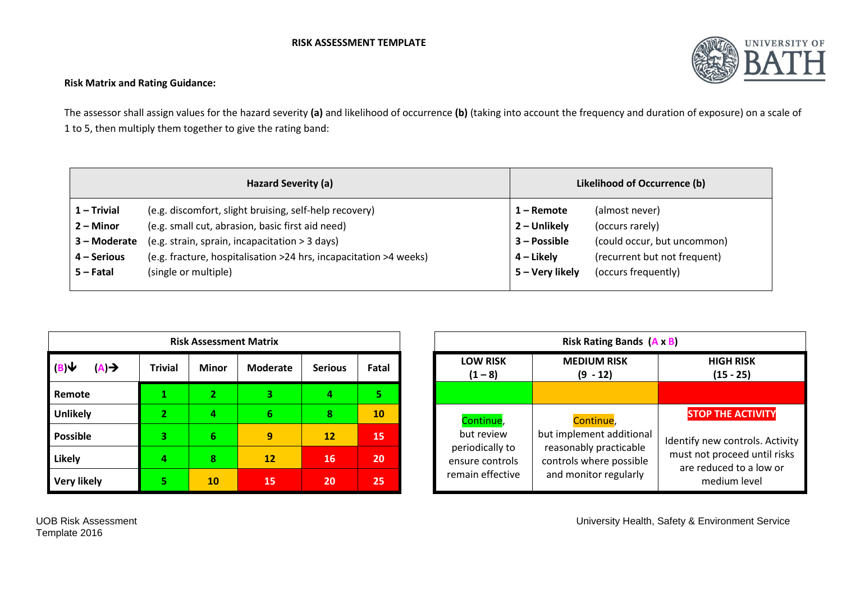## **RISK ASSESSMENT TEMPLATE**



## **Risk Matrix and Rating Guidance:**

The assessor shall assign values for the hazard severity **(a)** and likelihood of occurrence **(b)** (taking into account the frequency and duration of exposure) on a scale of 1 to 5, then multiply them together to give the rating band:

|               | Hazard Severity (a)                                               | Likelihood of Occurrence (b) |                              |  |
|---------------|-------------------------------------------------------------------|------------------------------|------------------------------|--|
| $1 - Trivial$ | (e.g. discomfort, slight bruising, self-help recovery)            | 1 – Remote                   | (almost never)               |  |
| 2 – Minor     | (e.g. small cut, abrasion, basic first aid need)                  | 2 – Unlikely                 | (occurs rarely)              |  |
| 3 – Moderate  | (e.g. strain, sprain, incapacitation > 3 days)                    | $3 - Possible$               | (could occur, but uncommon)  |  |
| $4 -$ Serious | (e.g. fracture, hospitalisation >24 hrs, incapacitation >4 weeks) | 4 – Likely                   | (recurrent but not frequent) |  |
| $5 -$ Fatal   | (single or multiple)                                              | 5 - Very likely              | (occurs frequently)          |  |
|               |                                                                   |                              |                              |  |

|                           |                | <b>Risk Assessment Matrix</b> |                 |                |       |
|---------------------------|----------------|-------------------------------|-----------------|----------------|-------|
| (B)V<br>$(A) \rightarrow$ | <b>Trivial</b> | <b>Minor</b>                  | <b>Moderate</b> | <b>Serious</b> | Fatal |
| Remote                    |                | $\overline{2}$                | 3               | 4              | 5.    |
| <b>Unlikely</b>           | 2              |                               | 6               | 8              | 10    |
| <b>Possible</b>           | 3              | 6                             | 9               | <b>12</b>      | 15    |
| <b>Likely</b>             |                | 8                             | <b>12</b>       | 16             | 20    |
| <b>Very likely</b>        | 5              | <b>10</b>                     | 15              | 20             | 25    |

|    | <b>Risk Assessment Matrix</b> |          |                |       |
|----|-------------------------------|----------|----------------|-------|
| al | <b>Minor</b>                  | Moderate | <b>Serious</b> | Fatal |
|    |                               |          | 4              | 5.    |
|    | 4                             | 6        | 8              | 10    |
|    | 6                             | 9        | 12             | 15    |
|    | 8                             | 12       | 16             | 20    |
|    | 10                            | 15       | 20             | 25    |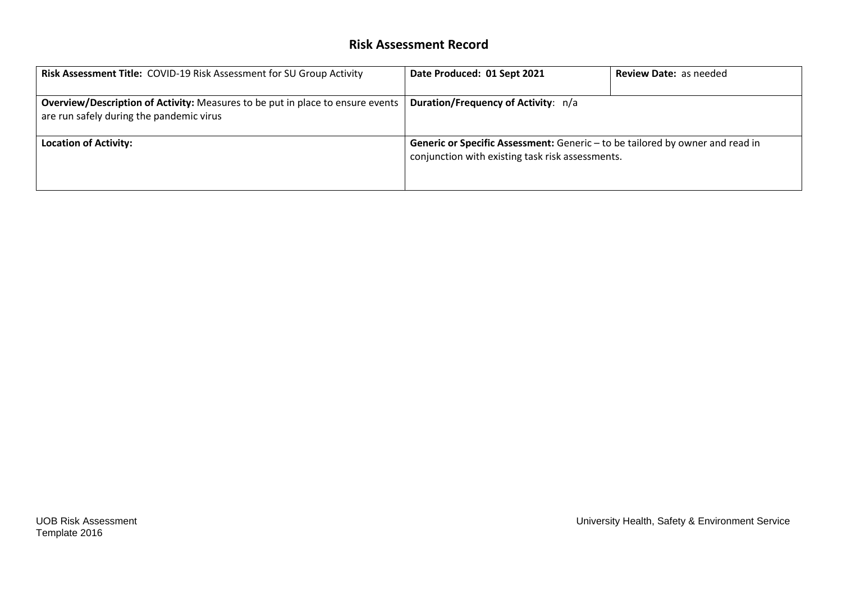## **Risk Assessment Record**

| Risk Assessment Title: COVID-19 Risk Assessment for SU Group Activity                                                             | Date Produced: 01 Sept 2021                                                                                                       | <b>Review Date: as needed</b> |
|-----------------------------------------------------------------------------------------------------------------------------------|-----------------------------------------------------------------------------------------------------------------------------------|-------------------------------|
| <b>Overview/Description of Activity:</b> Measures to be put in place to ensure events<br>are run safely during the pandemic virus | Duration/Frequency of Activity: n/a                                                                                               |                               |
| <b>Location of Activity:</b>                                                                                                      | Generic or Specific Assessment: Generic - to be tailored by owner and read in<br>conjunction with existing task risk assessments. |                               |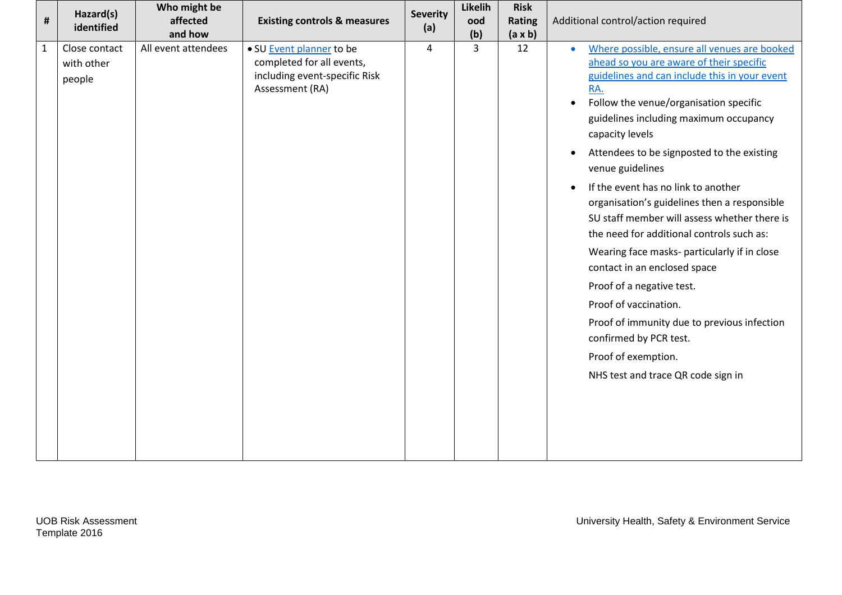| #            | Hazard(s)<br>identified               | Who might be<br>affected<br>and how | <b>Existing controls &amp; measures</b>                                                                   | <b>Severity</b><br>(a) | Likelih<br>ood<br>(b) | <b>Risk</b><br><b>Rating</b><br>$(a \times b)$ | Additional control/action required                                                                                                                                                                                                                                                                                                                                                                                                                                                                                                                                                                                                                                                                                                                                                                                                            |
|--------------|---------------------------------------|-------------------------------------|-----------------------------------------------------------------------------------------------------------|------------------------|-----------------------|------------------------------------------------|-----------------------------------------------------------------------------------------------------------------------------------------------------------------------------------------------------------------------------------------------------------------------------------------------------------------------------------------------------------------------------------------------------------------------------------------------------------------------------------------------------------------------------------------------------------------------------------------------------------------------------------------------------------------------------------------------------------------------------------------------------------------------------------------------------------------------------------------------|
| $\mathbf{1}$ | Close contact<br>with other<br>people | All event attendees                 | • SU Event planner to be<br>completed for all events,<br>including event-specific Risk<br>Assessment (RA) | 4                      | $\overline{3}$        | 12                                             | Where possible, ensure all venues are booked<br>$\bullet$<br>ahead so you are aware of their specific<br>guidelines and can include this in your event<br>RA.<br>Follow the venue/organisation specific<br>$\bullet$<br>guidelines including maximum occupancy<br>capacity levels<br>Attendees to be signposted to the existing<br>$\bullet$<br>venue guidelines<br>If the event has no link to another<br>$\bullet$<br>organisation's guidelines then a responsible<br>SU staff member will assess whether there is<br>the need for additional controls such as:<br>Wearing face masks- particularly if in close<br>contact in an enclosed space<br>Proof of a negative test.<br>Proof of vaccination.<br>Proof of immunity due to previous infection<br>confirmed by PCR test.<br>Proof of exemption.<br>NHS test and trace QR code sign in |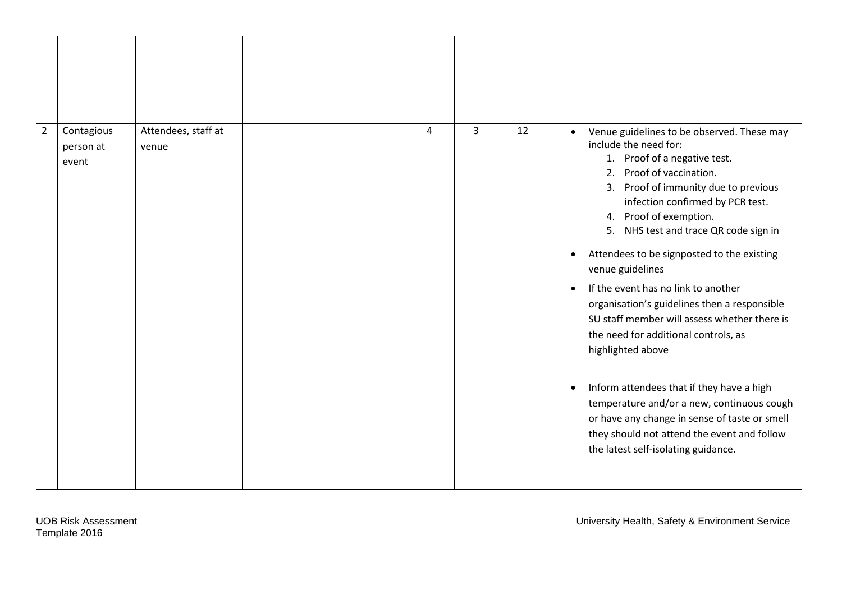| $\overline{2}$<br>Contagious<br>person at<br>event | Attendees, staff at<br>venue | 4 | $\overline{3}$ | 12 | Venue guidelines to be observed. These may<br>$\bullet$<br>include the need for:<br>1. Proof of a negative test.<br>Proof of vaccination.<br>2.<br>Proof of immunity due to previous<br>3.<br>infection confirmed by PCR test.<br>Proof of exemption.<br>4.<br>NHS test and trace QR code sign in<br>5.<br>Attendees to be signposted to the existing<br>$\bullet$<br>venue guidelines<br>If the event has no link to another<br>organisation's guidelines then a responsible<br>SU staff member will assess whether there is<br>the need for additional controls, as<br>highlighted above<br>Inform attendees that if they have a high<br>$\bullet$<br>temperature and/or a new, continuous cough<br>or have any change in sense of taste or smell<br>they should not attend the event and follow<br>the latest self-isolating guidance. |
|----------------------------------------------------|------------------------------|---|----------------|----|-------------------------------------------------------------------------------------------------------------------------------------------------------------------------------------------------------------------------------------------------------------------------------------------------------------------------------------------------------------------------------------------------------------------------------------------------------------------------------------------------------------------------------------------------------------------------------------------------------------------------------------------------------------------------------------------------------------------------------------------------------------------------------------------------------------------------------------------|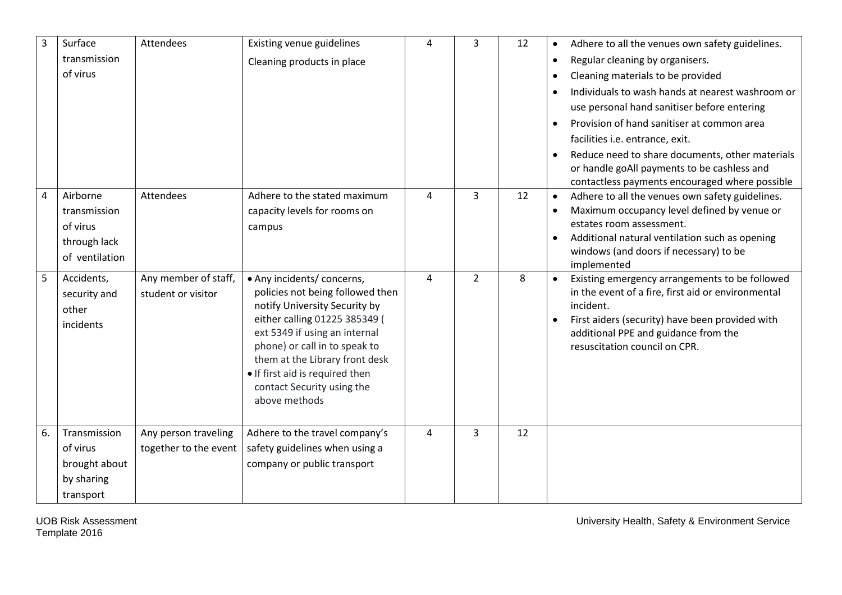| 3  | Surface<br>transmission<br>of virus                                    | Attendees                                     | Existing venue guidelines<br>Cleaning products in place                                                                                                                                                                                                                                                                | 4              | 3              | 12 | Adhere to all the venues own safety guidelines.<br>$\bullet$<br>Regular cleaning by organisers.<br>$\bullet$<br>Cleaning materials to be provided<br>$\bullet$<br>Individuals to wash hands at nearest washroom or<br>$\bullet$                                                               |
|----|------------------------------------------------------------------------|-----------------------------------------------|------------------------------------------------------------------------------------------------------------------------------------------------------------------------------------------------------------------------------------------------------------------------------------------------------------------------|----------------|----------------|----|-----------------------------------------------------------------------------------------------------------------------------------------------------------------------------------------------------------------------------------------------------------------------------------------------|
|    |                                                                        |                                               |                                                                                                                                                                                                                                                                                                                        |                |                |    | use personal hand sanitiser before entering<br>Provision of hand sanitiser at common area<br>facilities i.e. entrance, exit.<br>Reduce need to share documents, other materials<br>$\bullet$<br>or handle goAll payments to be cashless and<br>contactless payments encouraged where possible |
| 4  | Airborne<br>transmission<br>of virus<br>through lack<br>of ventilation | Attendees                                     | Adhere to the stated maximum<br>capacity levels for rooms on<br>campus                                                                                                                                                                                                                                                 | $\overline{4}$ | 3              | 12 | Adhere to all the venues own safety guidelines.<br>$\bullet$<br>Maximum occupancy level defined by venue or<br>$\bullet$<br>estates room assessment.<br>Additional natural ventilation such as opening<br>$\bullet$<br>windows (and doors if necessary) to be<br>implemented                  |
| 5  | Accidents,<br>security and<br>other<br>incidents                       | Any member of staff,<br>student or visitor    | • Any incidents/ concerns,<br>policies not being followed then<br>notify University Security by<br>either calling 01225 385349 (<br>ext 5349 if using an internal<br>phone) or call in to speak to<br>them at the Library front desk<br>. If first aid is required then<br>contact Security using the<br>above methods | 4              | $\overline{2}$ | 8  | Existing emergency arrangements to be followed<br>in the event of a fire, first aid or environmental<br>incident.<br>First aiders (security) have been provided with<br>additional PPE and guidance from the<br>resuscitation council on CPR.                                                 |
| 6. | Transmission<br>of virus<br>brought about<br>by sharing<br>transport   | Any person traveling<br>together to the event | Adhere to the travel company's<br>safety guidelines when using a<br>company or public transport                                                                                                                                                                                                                        | 4              | 3              | 12 |                                                                                                                                                                                                                                                                                               |

Template 2016

UOB Risk Assessment University Health, Safety & Environment Service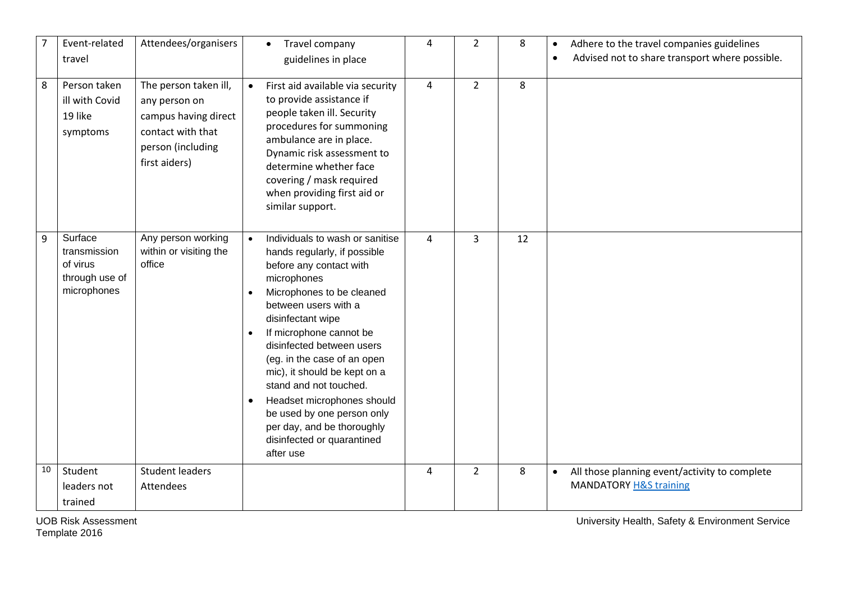|    | Event-related<br>travel                                              | Attendees/organisers                                                                                                      | Travel company<br>$\bullet$<br>guidelines in place                                                                                                                                                                                                                                                                                                                                                                                                                        | 4 | $\overline{2}$ | 8  | Adhere to the travel companies guidelines<br>$\bullet$<br>Advised not to share transport where possible.<br>$\bullet$ |
|----|----------------------------------------------------------------------|---------------------------------------------------------------------------------------------------------------------------|---------------------------------------------------------------------------------------------------------------------------------------------------------------------------------------------------------------------------------------------------------------------------------------------------------------------------------------------------------------------------------------------------------------------------------------------------------------------------|---|----------------|----|-----------------------------------------------------------------------------------------------------------------------|
| 8  | Person taken<br>ill with Covid<br>19 like<br>symptoms                | The person taken ill,<br>any person on<br>campus having direct<br>contact with that<br>person (including<br>first aiders) | First aid available via security<br>to provide assistance if<br>people taken ill. Security<br>procedures for summoning<br>ambulance are in place.<br>Dynamic risk assessment to<br>determine whether face<br>covering / mask required<br>when providing first aid or<br>similar support.                                                                                                                                                                                  | 4 | $\overline{2}$ | 8  |                                                                                                                       |
| 9  | Surface<br>transmission<br>of virus<br>through use of<br>microphones | Any person working<br>within or visiting the<br>office                                                                    | Individuals to wash or sanitise<br>hands regularly, if possible<br>before any contact with<br>microphones<br>Microphones to be cleaned<br>between users with a<br>disinfectant wipe<br>If microphone cannot be<br>disinfected between users<br>(eg. in the case of an open<br>mic), it should be kept on a<br>stand and not touched.<br>Headset microphones should<br>be used by one person only<br>per day, and be thoroughly<br>disinfected or quarantined<br>after use | 4 | 3              | 12 |                                                                                                                       |
| 10 | Student<br>leaders not                                               | <b>Student leaders</b><br>Attendees                                                                                       |                                                                                                                                                                                                                                                                                                                                                                                                                                                                           | 4 | $\overline{2}$ | 8  | All those planning event/activity to complete<br>$\bullet$<br><b>MANDATORY H&amp;S training</b>                       |
|    | trained                                                              |                                                                                                                           |                                                                                                                                                                                                                                                                                                                                                                                                                                                                           |   |                |    |                                                                                                                       |

Template 2016

UOB Risk Assessment University Health, Safety & Environment Service